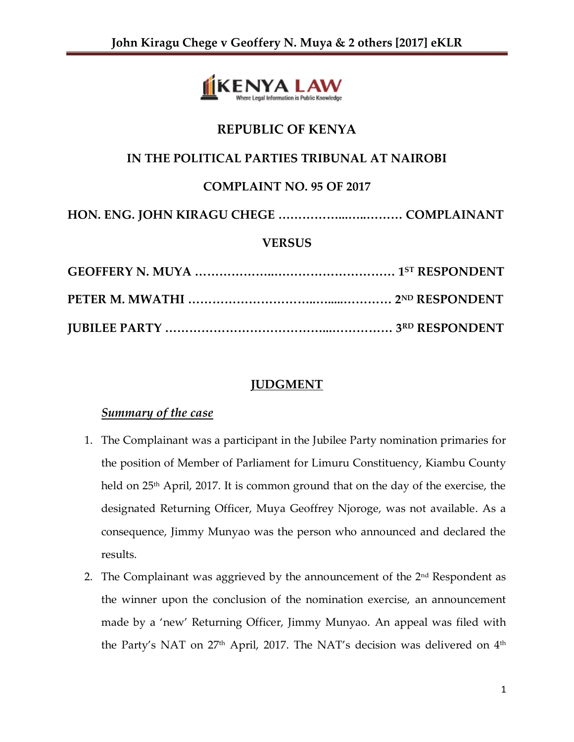

# **REPUBLIC OF KENYA**

# **IN THE POLITICAL PARTIES TRIBUNAL AT NAIROBI**

# **COMPLAINT NO. 95 OF 2017**

```
HON. ENG. JOHN KIRAGU CHEGE ……………...…..……… COMPLAINANT
```
## **VERSUS**

## **JUDGMENT**

## *Summary of the case*

- 1. The Complainant was a participant in the Jubilee Party nomination primaries for the position of Member of Parliament for Limuru Constituency, Kiambu County held on 25th April, 2017. It is common ground that on the day of the exercise, the designated Returning Officer, Muya Geoffrey Njoroge, was not available. As a consequence, Jimmy Munyao was the person who announced and declared the results.
- 2. The Complainant was aggrieved by the announcement of the  $2<sup>nd</sup>$  Respondent as the winner upon the conclusion of the nomination exercise, an announcement made by a 'new' Returning Officer, Jimmy Munyao. An appeal was filed with the Party's NAT on  $27<sup>th</sup>$  April, 2017. The NAT's decision was delivered on  $4<sup>th</sup>$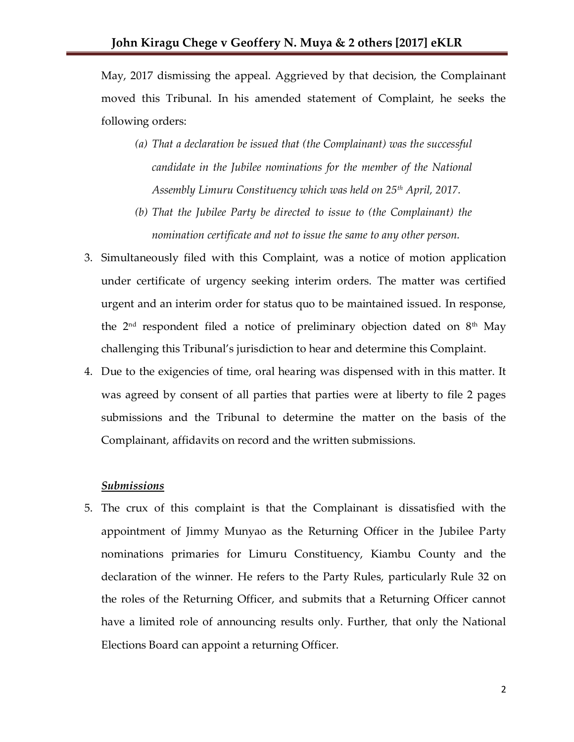May, 2017 dismissing the appeal. Aggrieved by that decision, the Complainant moved this Tribunal. In his amended statement of Complaint, he seeks the following orders:

- *(a) That a declaration be issued that (the Complainant) was the successful candidate in the Jubilee nominations for the member of the National Assembly Limuru Constituency which was held on 25th April, 2017.*
- *(b) That the Jubilee Party be directed to issue to (the Complainant) the nomination certificate and not to issue the same to any other person.*
- 3. Simultaneously filed with this Complaint, was a notice of motion application under certificate of urgency seeking interim orders. The matter was certified urgent and an interim order for status quo to be maintained issued. In response, the  $2<sup>nd</sup>$  respondent filed a notice of preliminary objection dated on  $8<sup>th</sup>$  May challenging this Tribunal's jurisdiction to hear and determine this Complaint.
- 4. Due to the exigencies of time, oral hearing was dispensed with in this matter. It was agreed by consent of all parties that parties were at liberty to file 2 pages submissions and the Tribunal to determine the matter on the basis of the Complainant, affidavits on record and the written submissions.

### *Submissions*

5. The crux of this complaint is that the Complainant is dissatisfied with the appointment of Jimmy Munyao as the Returning Officer in the Jubilee Party nominations primaries for Limuru Constituency, Kiambu County and the declaration of the winner. He refers to the Party Rules, particularly Rule 32 on the roles of the Returning Officer, and submits that a Returning Officer cannot have a limited role of announcing results only. Further, that only the National Elections Board can appoint a returning Officer.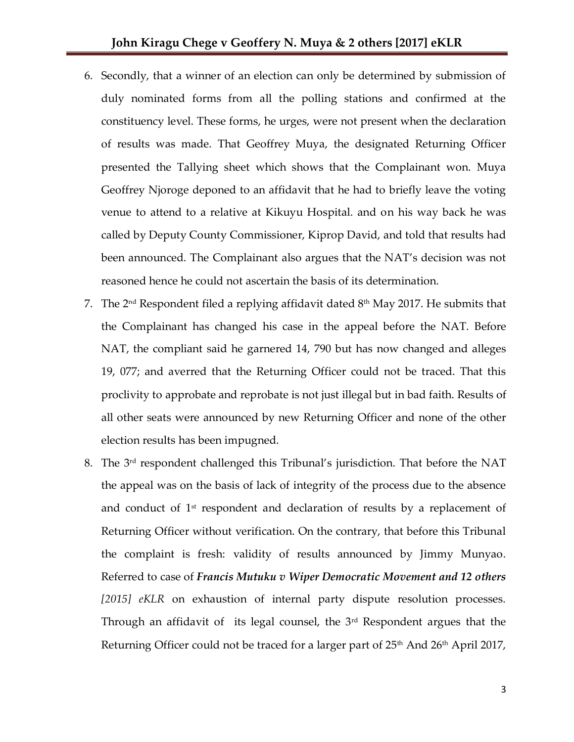- 6. Secondly, that a winner of an election can only be determined by submission of duly nominated forms from all the polling stations and confirmed at the constituency level. These forms, he urges, were not present when the declaration of results was made. That Geoffrey Muya, the designated Returning Officer presented the Tallying sheet which shows that the Complainant won. Muya Geoffrey Njoroge deponed to an affidavit that he had to briefly leave the voting venue to attend to a relative at Kikuyu Hospital. and on his way back he was called by Deputy County Commissioner, Kiprop David, and told that results had been announced. The Complainant also argues that the NAT's decision was not reasoned hence he could not ascertain the basis of its determination.
- 7. The  $2^{\text{nd}}$  Respondent filed a replying affidavit dated  $8^{\text{th}}$  May 2017. He submits that the Complainant has changed his case in the appeal before the NAT. Before NAT, the compliant said he garnered 14, 790 but has now changed and alleges 19, 077; and averred that the Returning Officer could not be traced. That this proclivity to approbate and reprobate is not just illegal but in bad faith. Results of all other seats were announced by new Returning Officer and none of the other election results has been impugned.
- 8. The 3rd respondent challenged this Tribunal's jurisdiction. That before the NAT the appeal was on the basis of lack of integrity of the process due to the absence and conduct of  $1<sup>st</sup>$  respondent and declaration of results by a replacement of Returning Officer without verification. On the contrary, that before this Tribunal the complaint is fresh: validity of results announced by Jimmy Munyao. Referred to case of *Francis Mutuku v Wiper Democratic Movement and 12 others [2015] eKLR* on exhaustion of internal party dispute resolution processes. Through an affidavit of its legal counsel, the  $3<sup>rd</sup>$  Respondent argues that the Returning Officer could not be traced for a larger part of  $25<sup>th</sup>$  And  $26<sup>th</sup>$  April 2017,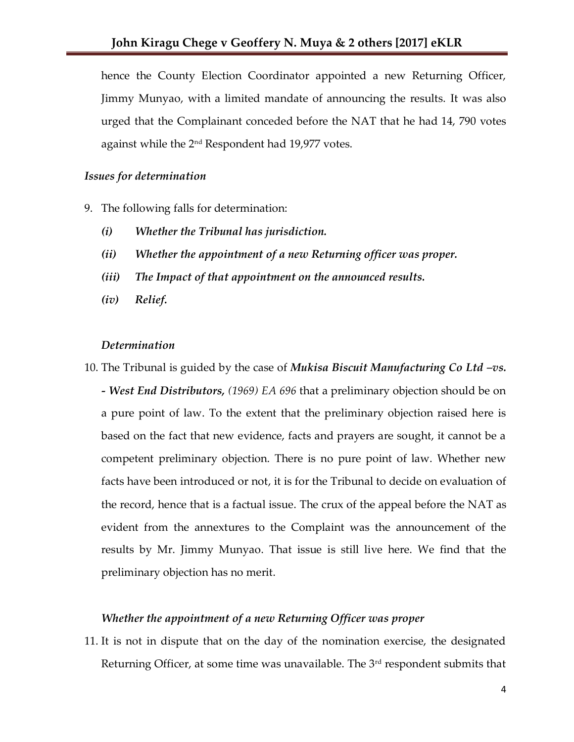hence the County Election Coordinator appointed a new Returning Officer, Jimmy Munyao, with a limited mandate of announcing the results. It was also urged that the Complainant conceded before the NAT that he had 14, 790 votes against while the 2<sup>nd</sup> Respondent had 19,977 votes.

### *Issues for determination*

- 9. The following falls for determination:
	- *(i) Whether the Tribunal has jurisdiction.*
	- *(ii) Whether the appointment of a new Returning officer was proper.*
	- *(iii) The Impact of that appointment on the announced results.*
	- *(iv) Relief.*

### *Determination*

10. The Tribunal is guided by the case of *Mukisa Biscuit Manufacturing Co Ltd –vs. - West End Distributors, (1969) EA 696* that a preliminary objection should be on a pure point of law. To the extent that the preliminary objection raised here is based on the fact that new evidence, facts and prayers are sought, it cannot be a competent preliminary objection. There is no pure point of law. Whether new facts have been introduced or not, it is for the Tribunal to decide on evaluation of the record, hence that is a factual issue. The crux of the appeal before the NAT as evident from the annextures to the Complaint was the announcement of the results by Mr. Jimmy Munyao. That issue is still live here. We find that the preliminary objection has no merit.

#### *Whether the appointment of a new Returning Officer was proper*

11. It is not in dispute that on the day of the nomination exercise, the designated Returning Officer, at some time was unavailable. The 3<sup>rd</sup> respondent submits that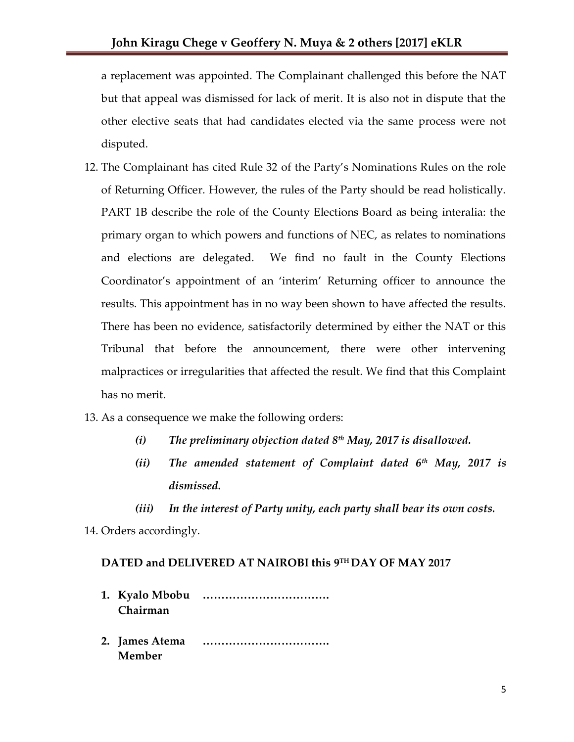a replacement was appointed. The Complainant challenged this before the NAT but that appeal was dismissed for lack of merit. It is also not in dispute that the other elective seats that had candidates elected via the same process were not disputed.

- 12. The Complainant has cited Rule 32 of the Party's Nominations Rules on the role of Returning Officer. However, the rules of the Party should be read holistically. PART 1B describe the role of the County Elections Board as being interalia: the primary organ to which powers and functions of NEC, as relates to nominations and elections are delegated. We find no fault in the County Elections Coordinator's appointment of an 'interim' Returning officer to announce the results. This appointment has in no way been shown to have affected the results. There has been no evidence, satisfactorily determined by either the NAT or this Tribunal that before the announcement, there were other intervening malpractices or irregularities that affected the result. We find that this Complaint has no merit.
- 13. As a consequence we make the following orders:
	- *(i) The preliminary objection dated 8th May, 2017 is disallowed.*
	- *(ii) The amended statement of Complaint dated 6th May, 2017 is dismissed.*
	- *(iii) In the interest of Party unity, each party shall bear its own costs.*

14. Orders accordingly.

### **DATED and DELIVERED AT NAIROBI this 9 TH DAY OF MAY 2017**

- **1. Kyalo Mbobu ……………………………. Chairman**
- **2. James Atema ……………………………. Member**